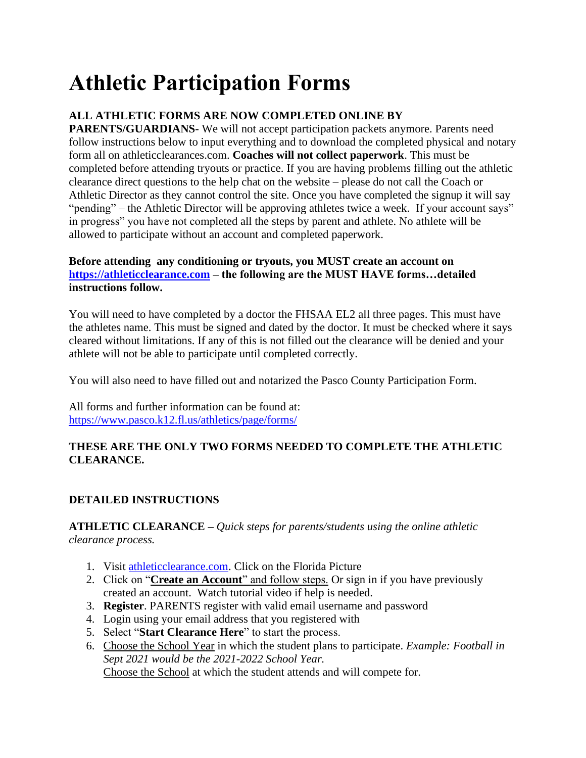# **Athletic Participation Forms**

### **ALL ATHLETIC FORMS ARE NOW COMPLETED ONLINE BY**

**PARENTS/GUARDIANS-** We will not accept participation packets anymore. Parents need follow instructions below to input everything and to download the completed physical and notary form all on athleticclearances.com. **Coaches will not collect paperwork**. This must be completed before attending tryouts or practice. If you are having problems filling out the athletic clearance direct questions to the help chat on the website – please do not call the Coach or Athletic Director as they cannot control the site. Once you have completed the signup it will say "pending" – the Athletic Director will be approving athletes twice a week. If your account says" in progress" you have not completed all the steps by parent and athlete. No athlete will be allowed to participate without an account and completed paperwork.

### **Before attending any conditioning or tryouts, you MUST create an account on [https://athleticclearance.com](https://athleticclearance.fhsaahome.org/) – the following are the MUST HAVE forms…detailed instructions follow.**

You will need to have completed by a doctor the FHSAA EL2 all three pages. This must have the athletes name. This must be signed and dated by the doctor. It must be checked where it says cleared without limitations. If any of this is not filled out the clearance will be denied and your athlete will not be able to participate until completed correctly.

You will also need to have filled out and notarized the Pasco County Participation Form.

All forms and further information can be found at: <https://www.pasco.k12.fl.us/athletics/page/forms/>

### **THESE ARE THE ONLY TWO FORMS NEEDED TO COMPLETE THE ATHLETIC CLEARANCE.**

### **DETAILED INSTRUCTIONS**

### **ATHLETIC CLEARANCE –** *Quick steps for parents/students using the online athletic clearance process.*

- 1. Visit [athleticclearance.com.](https://athleticclearance.com/) Click on the Florida Picture
- 2. Click on "**Create an Account**" and follow steps. Or sign in if you have previously created an account. Watch tutorial video if help is needed.
- 3. **Register**. PARENTS register with valid email username and password
- 4. Login using your email address that you registered with
- 5. Select "**Start Clearance Here**" to start the process.
- 6. Choose the School Year in which the student plans to participate. *Example: Football in Sept 2021 would be the 2021-2022 School Year.* Choose the School at which the student attends and will compete for.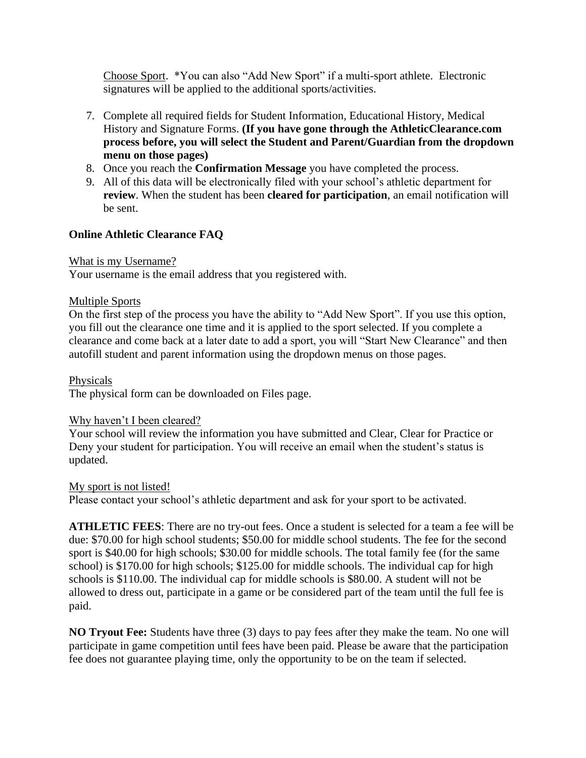Choose Sport. \*You can also "Add New Sport" if a multi-sport athlete. Electronic signatures will be applied to the additional sports/activities.

- 7. Complete all required fields for Student Information, Educational History, Medical History and Signature Forms. **(If you have gone through the AthleticClearance.com process before, you will select the Student and Parent/Guardian from the dropdown menu on those pages)**
- 8. Once you reach the **Confirmation Message** you have completed the process.
- 9. All of this data will be electronically filed with your school's athletic department for **review**. When the student has been **cleared for participation**, an email notification will be sent.

### **Online Athletic Clearance FAQ**

### What is my Username?

Your username is the email address that you registered with.

### Multiple Sports

On the first step of the process you have the ability to "Add New Sport". If you use this option, you fill out the clearance one time and it is applied to the sport selected. If you complete a clearance and come back at a later date to add a sport, you will "Start New Clearance" and then autofill student and parent information using the dropdown menus on those pages.

### Physicals

The physical form can be downloaded on Files page.

### Why haven't I been cleared?

Your school will review the information you have submitted and Clear, Clear for Practice or Deny your student for participation. You will receive an email when the student's status is updated.

#### My sport is not listed!

Please contact your school's athletic department and ask for your sport to be activated.

**ATHLETIC FEES**: There are no try-out fees. Once a student is selected for a team a fee will be due: \$70.00 for high school students; \$50.00 for middle school students. The fee for the second sport is \$40.00 for high schools; \$30.00 for middle schools. The total family fee (for the same school) is \$170.00 for high schools; \$125.00 for middle schools. The individual cap for high schools is \$110.00. The individual cap for middle schools is \$80.00. A student will not be allowed to dress out, participate in a game or be considered part of the team until the full fee is paid.

**NO Tryout Fee:** Students have three (3) days to pay fees after they make the team. No one will participate in game competition until fees have been paid. Please be aware that the participation fee does not guarantee playing time, only the opportunity to be on the team if selected.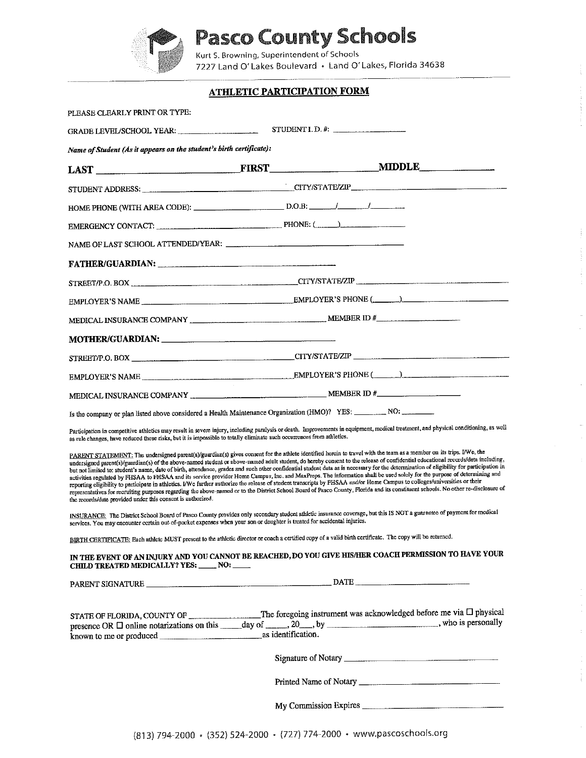

# **Pasco County Schools**

Kurt S. Browning, Superintendent of Schools 7227 Land O' Lakes Boulevard · Land O' Lakes, Florida 34638

 $\frac{1}{2}$ 

 $\bar{z}$ 

| <b>ATHLETIC PARTICIPATION FORM</b>                                                                                                                                                                                                                                                                                                                                                                                                                                                                                                                                                                                                                                                                                                                                                                                                                                                                                                                                                                                                                                                                                                                                                                                                                                                                                                                                                                   |
|------------------------------------------------------------------------------------------------------------------------------------------------------------------------------------------------------------------------------------------------------------------------------------------------------------------------------------------------------------------------------------------------------------------------------------------------------------------------------------------------------------------------------------------------------------------------------------------------------------------------------------------------------------------------------------------------------------------------------------------------------------------------------------------------------------------------------------------------------------------------------------------------------------------------------------------------------------------------------------------------------------------------------------------------------------------------------------------------------------------------------------------------------------------------------------------------------------------------------------------------------------------------------------------------------------------------------------------------------------------------------------------------------|
|                                                                                                                                                                                                                                                                                                                                                                                                                                                                                                                                                                                                                                                                                                                                                                                                                                                                                                                                                                                                                                                                                                                                                                                                                                                                                                                                                                                                      |
| STUDENT I.D.#:<br>GRADE LEVEL/SCHOOL YEAR:                                                                                                                                                                                                                                                                                                                                                                                                                                                                                                                                                                                                                                                                                                                                                                                                                                                                                                                                                                                                                                                                                                                                                                                                                                                                                                                                                           |
| Name of Student (As it appears on the student's birth certificate):                                                                                                                                                                                                                                                                                                                                                                                                                                                                                                                                                                                                                                                                                                                                                                                                                                                                                                                                                                                                                                                                                                                                                                                                                                                                                                                                  |
|                                                                                                                                                                                                                                                                                                                                                                                                                                                                                                                                                                                                                                                                                                                                                                                                                                                                                                                                                                                                                                                                                                                                                                                                                                                                                                                                                                                                      |
|                                                                                                                                                                                                                                                                                                                                                                                                                                                                                                                                                                                                                                                                                                                                                                                                                                                                                                                                                                                                                                                                                                                                                                                                                                                                                                                                                                                                      |
|                                                                                                                                                                                                                                                                                                                                                                                                                                                                                                                                                                                                                                                                                                                                                                                                                                                                                                                                                                                                                                                                                                                                                                                                                                                                                                                                                                                                      |
| EMERGENCY CONTACT:                                                                                                                                                                                                                                                                                                                                                                                                                                                                                                                                                                                                                                                                                                                                                                                                                                                                                                                                                                                                                                                                                                                                                                                                                                                                                                                                                                                   |
|                                                                                                                                                                                                                                                                                                                                                                                                                                                                                                                                                                                                                                                                                                                                                                                                                                                                                                                                                                                                                                                                                                                                                                                                                                                                                                                                                                                                      |
| FATHER/GUARDIAN: Management of the contract of the contract of the contract of the contract of the contract of                                                                                                                                                                                                                                                                                                                                                                                                                                                                                                                                                                                                                                                                                                                                                                                                                                                                                                                                                                                                                                                                                                                                                                                                                                                                                       |
| STREET/P.O. BOX CONTROLLER CITY/STATE/ZIP                                                                                                                                                                                                                                                                                                                                                                                                                                                                                                                                                                                                                                                                                                                                                                                                                                                                                                                                                                                                                                                                                                                                                                                                                                                                                                                                                            |
|                                                                                                                                                                                                                                                                                                                                                                                                                                                                                                                                                                                                                                                                                                                                                                                                                                                                                                                                                                                                                                                                                                                                                                                                                                                                                                                                                                                                      |
|                                                                                                                                                                                                                                                                                                                                                                                                                                                                                                                                                                                                                                                                                                                                                                                                                                                                                                                                                                                                                                                                                                                                                                                                                                                                                                                                                                                                      |
|                                                                                                                                                                                                                                                                                                                                                                                                                                                                                                                                                                                                                                                                                                                                                                                                                                                                                                                                                                                                                                                                                                                                                                                                                                                                                                                                                                                                      |
|                                                                                                                                                                                                                                                                                                                                                                                                                                                                                                                                                                                                                                                                                                                                                                                                                                                                                                                                                                                                                                                                                                                                                                                                                                                                                                                                                                                                      |
|                                                                                                                                                                                                                                                                                                                                                                                                                                                                                                                                                                                                                                                                                                                                                                                                                                                                                                                                                                                                                                                                                                                                                                                                                                                                                                                                                                                                      |
|                                                                                                                                                                                                                                                                                                                                                                                                                                                                                                                                                                                                                                                                                                                                                                                                                                                                                                                                                                                                                                                                                                                                                                                                                                                                                                                                                                                                      |
| Is the company or plan listed above considered a Health Maintenance Organization (HMO)? YES: _______ NO: _____                                                                                                                                                                                                                                                                                                                                                                                                                                                                                                                                                                                                                                                                                                                                                                                                                                                                                                                                                                                                                                                                                                                                                                                                                                                                                       |
| Participation in competitive athletics may result in severe injury, including paralysis or death. Improvements in equipment, medical treatment, and physical conditioning, as well<br>as rule changes, have reduced these risks, but it is impossible to totally climinate such occurrences from athletics.                                                                                                                                                                                                                                                                                                                                                                                                                                                                                                                                                                                                                                                                                                                                                                                                                                                                                                                                                                                                                                                                                          |
| PARENT STATEMENT: The undersigned parent(s)/guardian(s) gives consent for the athlete identified herein to travel with the team as a member on its trips. I/We, the<br>undersigned parent(s)/guardian(s) of the above-named student or above-named adult student, do hereby consent to the release of confidential educational records/data including,<br>but not limited to: student's name, date of birth, attendance, grades and such other confidential student data as is necessary for the determination of eligibility for participation in<br>activities regulated by FHSAA to FHSAA and its service provider Home Campus, Inc. and MaxPreps. The information shall be used solely for the purpose of determining and<br>reporting eligibility to participate in athletics. I/We further authorize the release of student transcripts by FHSAA and/or Home Campus to colleges/universities or their<br>representatives for recruiting purposes regarding the above-named or to the District School Board of Pasco County, Florida and its constituent schools. No other re-disclosure of<br>INSURANCE: The District School Board of Pasco County provides only secondary student athletic insurance coverage, but this IS NOT a guarantee of payment for medical<br>services. You may encounter certain out of-pocket expenses when your son or daughter is treated for accidental injuries. |
| BIRTH CERTIFICATE: Each athlete MUST present to the athletic director or coach a certified copy of a valid birth certificate. The copy will be returned.                                                                                                                                                                                                                                                                                                                                                                                                                                                                                                                                                                                                                                                                                                                                                                                                                                                                                                                                                                                                                                                                                                                                                                                                                                             |
| IN THE EVENT OF AN INJURY AND YOU CANNOT BE REACHED, DO YOU GIVE HIS/HER COACH PERMISSION TO HAVE YOUR<br>CHILD TREATED MEDICALLY? YES: _____ NO: _____                                                                                                                                                                                                                                                                                                                                                                                                                                                                                                                                                                                                                                                                                                                                                                                                                                                                                                                                                                                                                                                                                                                                                                                                                                              |
|                                                                                                                                                                                                                                                                                                                                                                                                                                                                                                                                                                                                                                                                                                                                                                                                                                                                                                                                                                                                                                                                                                                                                                                                                                                                                                                                                                                                      |
| STATE OF FLORIDA, COUNTY OF _______________The foregoing instrument was acknowledged before me via $\Box$ physical<br>presence OR $\Box$ online notarizations on this $\Box$ day of $\Box$ , 20 $\Box$ , by $\Box$ , $\Box$ $\Box$ , $\Box$ , who is personally                                                                                                                                                                                                                                                                                                                                                                                                                                                                                                                                                                                                                                                                                                                                                                                                                                                                                                                                                                                                                                                                                                                                      |
|                                                                                                                                                                                                                                                                                                                                                                                                                                                                                                                                                                                                                                                                                                                                                                                                                                                                                                                                                                                                                                                                                                                                                                                                                                                                                                                                                                                                      |
|                                                                                                                                                                                                                                                                                                                                                                                                                                                                                                                                                                                                                                                                                                                                                                                                                                                                                                                                                                                                                                                                                                                                                                                                                                                                                                                                                                                                      |
|                                                                                                                                                                                                                                                                                                                                                                                                                                                                                                                                                                                                                                                                                                                                                                                                                                                                                                                                                                                                                                                                                                                                                                                                                                                                                                                                                                                                      |
|                                                                                                                                                                                                                                                                                                                                                                                                                                                                                                                                                                                                                                                                                                                                                                                                                                                                                                                                                                                                                                                                                                                                                                                                                                                                                                                                                                                                      |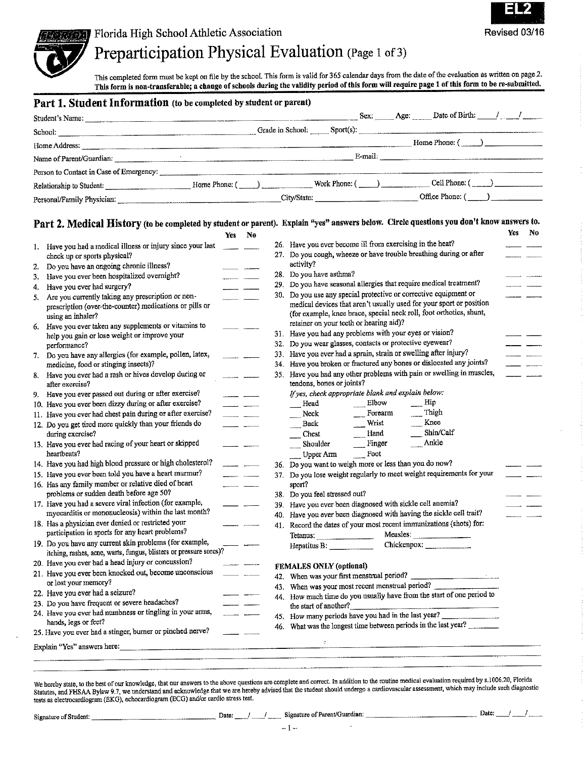

### Preparticipation Physical Evaluation (Page 1 of 3)

This completed form must be kept on file by the school. This form is valid for 365 calendar days from the date of the evaluation as written on page 2. This form is non-transferable; a change of schools during the validity period of this form will require page 1 of this form to be re-submitted.

#### Part 1. Student Information (to be completed by student or parent)

| Student's Name:                                             |               |                                                 |                 | Sex: Age: Date of Birth: / /                                                                                                                                                                                                   |  |
|-------------------------------------------------------------|---------------|-------------------------------------------------|-----------------|--------------------------------------------------------------------------------------------------------------------------------------------------------------------------------------------------------------------------------|--|
| School:<br><u> 1980 - Jan James Alexandro III (m. 1980)</u> |               |                                                 |                 |                                                                                                                                                                                                                                |  |
| Home Address:                                               |               |                                                 |                 | Home Phone: ( )                                                                                                                                                                                                                |  |
| Name of Parent/Guardian:                                    |               |                                                 |                 | E-mail: The contract of the contract of the contract of the contract of the contract of the contract of the contract of the contract of the contract of the contract of the contract of the contract of the contract of the co |  |
| Person to Contact in Case of Emergency:                     |               |                                                 |                 |                                                                                                                                                                                                                                |  |
| Relationship to Student:                                    | Home Phone: 6 | the contract of the contract of the contract of | Work Phone: ( ) | Cell Phone: ( )                                                                                                                                                                                                                |  |
| Personal/Family Physician.                                  |               |                                                 | City/State:     | Office Phone: (                                                                                                                                                                                                                |  |

### Part 2. Medical History (to be completed by student or parent). Explain "yes" answers below. Circle questions you don't know answers to.

| 1. Have you had a medical illness or injury since your last<br>check up or sports physical?<br>Do you have an ongoing chronic illness?<br>Have you ever been hospitalized overnight?<br>Have you ever had surgery?<br>Are you currently taking any prescription or non-<br>prescription (over-the-counter) medications or pills or<br>using an inhaler?<br>Have you ever taken any supplements or vitamins to<br>help you gain or lose weight or improve your<br>performance? |                                                                                                                                                                                                                                                                                                                                                                                                                                                                                                                                                                                                                                                                                                                                                                                                                                                                                                                                                                                                                                                                                                                                                                                                                                                    |                                                                    | 29.<br>30.                  | 26. Have you ever become ill from exercising in the heat?<br>27. Do you cough, wheeze or have trouble breathing during or after<br>activity?<br>28. Do you have asthma?<br>Do you have seasonal allergies that require medical treatment?<br>Do you use any special protective or corrective equipment or<br>medical devices that aren't usually used for your sport or position |                                                                                                                                                                                                                                                                                                                                                                                                                                                                                                                                                                                                                                                                                                                                                                                              |  |
|-------------------------------------------------------------------------------------------------------------------------------------------------------------------------------------------------------------------------------------------------------------------------------------------------------------------------------------------------------------------------------------------------------------------------------------------------------------------------------|----------------------------------------------------------------------------------------------------------------------------------------------------------------------------------------------------------------------------------------------------------------------------------------------------------------------------------------------------------------------------------------------------------------------------------------------------------------------------------------------------------------------------------------------------------------------------------------------------------------------------------------------------------------------------------------------------------------------------------------------------------------------------------------------------------------------------------------------------------------------------------------------------------------------------------------------------------------------------------------------------------------------------------------------------------------------------------------------------------------------------------------------------------------------------------------------------------------------------------------------------|--------------------------------------------------------------------|-----------------------------|----------------------------------------------------------------------------------------------------------------------------------------------------------------------------------------------------------------------------------------------------------------------------------------------------------------------------------------------------------------------------------|----------------------------------------------------------------------------------------------------------------------------------------------------------------------------------------------------------------------------------------------------------------------------------------------------------------------------------------------------------------------------------------------------------------------------------------------------------------------------------------------------------------------------------------------------------------------------------------------------------------------------------------------------------------------------------------------------------------------------------------------------------------------------------------------|--|
|                                                                                                                                                                                                                                                                                                                                                                                                                                                                               |                                                                                                                                                                                                                                                                                                                                                                                                                                                                                                                                                                                                                                                                                                                                                                                                                                                                                                                                                                                                                                                                                                                                                                                                                                                    |                                                                    |                             |                                                                                                                                                                                                                                                                                                                                                                                  |                                                                                                                                                                                                                                                                                                                                                                                                                                                                                                                                                                                                                                                                                                                                                                                              |  |
|                                                                                                                                                                                                                                                                                                                                                                                                                                                                               |                                                                                                                                                                                                                                                                                                                                                                                                                                                                                                                                                                                                                                                                                                                                                                                                                                                                                                                                                                                                                                                                                                                                                                                                                                                    |                                                                    |                             |                                                                                                                                                                                                                                                                                                                                                                                  |                                                                                                                                                                                                                                                                                                                                                                                                                                                                                                                                                                                                                                                                                                                                                                                              |  |
|                                                                                                                                                                                                                                                                                                                                                                                                                                                                               |                                                                                                                                                                                                                                                                                                                                                                                                                                                                                                                                                                                                                                                                                                                                                                                                                                                                                                                                                                                                                                                                                                                                                                                                                                                    |                                                                    |                             |                                                                                                                                                                                                                                                                                                                                                                                  |                                                                                                                                                                                                                                                                                                                                                                                                                                                                                                                                                                                                                                                                                                                                                                                              |  |
|                                                                                                                                                                                                                                                                                                                                                                                                                                                                               |                                                                                                                                                                                                                                                                                                                                                                                                                                                                                                                                                                                                                                                                                                                                                                                                                                                                                                                                                                                                                                                                                                                                                                                                                                                    |                                                                    |                             |                                                                                                                                                                                                                                                                                                                                                                                  |                                                                                                                                                                                                                                                                                                                                                                                                                                                                                                                                                                                                                                                                                                                                                                                              |  |
|                                                                                                                                                                                                                                                                                                                                                                                                                                                                               |                                                                                                                                                                                                                                                                                                                                                                                                                                                                                                                                                                                                                                                                                                                                                                                                                                                                                                                                                                                                                                                                                                                                                                                                                                                    |                                                                    |                             |                                                                                                                                                                                                                                                                                                                                                                                  |                                                                                                                                                                                                                                                                                                                                                                                                                                                                                                                                                                                                                                                                                                                                                                                              |  |
|                                                                                                                                                                                                                                                                                                                                                                                                                                                                               |                                                                                                                                                                                                                                                                                                                                                                                                                                                                                                                                                                                                                                                                                                                                                                                                                                                                                                                                                                                                                                                                                                                                                                                                                                                    |                                                                    |                             |                                                                                                                                                                                                                                                                                                                                                                                  |                                                                                                                                                                                                                                                                                                                                                                                                                                                                                                                                                                                                                                                                                                                                                                                              |  |
|                                                                                                                                                                                                                                                                                                                                                                                                                                                                               |                                                                                                                                                                                                                                                                                                                                                                                                                                                                                                                                                                                                                                                                                                                                                                                                                                                                                                                                                                                                                                                                                                                                                                                                                                                    |                                                                    |                             | (for example, knee brace, special neck roll, foot orthotics, shunt,                                                                                                                                                                                                                                                                                                              |                                                                                                                                                                                                                                                                                                                                                                                                                                                                                                                                                                                                                                                                                                                                                                                              |  |
|                                                                                                                                                                                                                                                                                                                                                                                                                                                                               |                                                                                                                                                                                                                                                                                                                                                                                                                                                                                                                                                                                                                                                                                                                                                                                                                                                                                                                                                                                                                                                                                                                                                                                                                                                    |                                                                    |                             | retainer on your teeth or hearing aid)?                                                                                                                                                                                                                                                                                                                                          |                                                                                                                                                                                                                                                                                                                                                                                                                                                                                                                                                                                                                                                                                                                                                                                              |  |
|                                                                                                                                                                                                                                                                                                                                                                                                                                                                               |                                                                                                                                                                                                                                                                                                                                                                                                                                                                                                                                                                                                                                                                                                                                                                                                                                                                                                                                                                                                                                                                                                                                                                                                                                                    |                                                                    |                             | 31. Have you had any problems with your eyes or vision?<br>32. Do you wear glasses, contacts or protective eyewear?                                                                                                                                                                                                                                                              |                                                                                                                                                                                                                                                                                                                                                                                                                                                                                                                                                                                                                                                                                                                                                                                              |  |
| 7. Do you have any allergies (for example, pollen, latex,                                                                                                                                                                                                                                                                                                                                                                                                                     |                                                                                                                                                                                                                                                                                                                                                                                                                                                                                                                                                                                                                                                                                                                                                                                                                                                                                                                                                                                                                                                                                                                                                                                                                                                    |                                                                    |                             | 33. Have you ever had a sprain, strain or swelling after injury?                                                                                                                                                                                                                                                                                                                 |                                                                                                                                                                                                                                                                                                                                                                                                                                                                                                                                                                                                                                                                                                                                                                                              |  |
| medicine, food or stinging insects)?                                                                                                                                                                                                                                                                                                                                                                                                                                          |                                                                                                                                                                                                                                                                                                                                                                                                                                                                                                                                                                                                                                                                                                                                                                                                                                                                                                                                                                                                                                                                                                                                                                                                                                                    |                                                                    | 34.                         | Have you broken or fractured any bones or dislocated any joints?                                                                                                                                                                                                                                                                                                                 |                                                                                                                                                                                                                                                                                                                                                                                                                                                                                                                                                                                                                                                                                                                                                                                              |  |
| 8. Have you ever had a rash or hives develop during or                                                                                                                                                                                                                                                                                                                                                                                                                        |                                                                                                                                                                                                                                                                                                                                                                                                                                                                                                                                                                                                                                                                                                                                                                                                                                                                                                                                                                                                                                                                                                                                                                                                                                                    |                                                                    | 35.                         | Have you had any other problems with pain or swelling in muscles,<br>tendons, bones or joints?                                                                                                                                                                                                                                                                                   |                                                                                                                                                                                                                                                                                                                                                                                                                                                                                                                                                                                                                                                                                                                                                                                              |  |
|                                                                                                                                                                                                                                                                                                                                                                                                                                                                               |                                                                                                                                                                                                                                                                                                                                                                                                                                                                                                                                                                                                                                                                                                                                                                                                                                                                                                                                                                                                                                                                                                                                                                                                                                                    |                                                                    |                             | If yes, check appropriate blank and explain below:                                                                                                                                                                                                                                                                                                                               |                                                                                                                                                                                                                                                                                                                                                                                                                                                                                                                                                                                                                                                                                                                                                                                              |  |
|                                                                                                                                                                                                                                                                                                                                                                                                                                                                               |                                                                                                                                                                                                                                                                                                                                                                                                                                                                                                                                                                                                                                                                                                                                                                                                                                                                                                                                                                                                                                                                                                                                                                                                                                                    |                                                                    |                             | Elbow<br>Hip<br>Head                                                                                                                                                                                                                                                                                                                                                             |                                                                                                                                                                                                                                                                                                                                                                                                                                                                                                                                                                                                                                                                                                                                                                                              |  |
|                                                                                                                                                                                                                                                                                                                                                                                                                                                                               |                                                                                                                                                                                                                                                                                                                                                                                                                                                                                                                                                                                                                                                                                                                                                                                                                                                                                                                                                                                                                                                                                                                                                                                                                                                    |                                                                    |                             | Forearm<br>Neck                                                                                                                                                                                                                                                                                                                                                                  |                                                                                                                                                                                                                                                                                                                                                                                                                                                                                                                                                                                                                                                                                                                                                                                              |  |
|                                                                                                                                                                                                                                                                                                                                                                                                                                                                               |                                                                                                                                                                                                                                                                                                                                                                                                                                                                                                                                                                                                                                                                                                                                                                                                                                                                                                                                                                                                                                                                                                                                                                                                                                                    |                                                                    |                             | Back                                                                                                                                                                                                                                                                                                                                                                             |                                                                                                                                                                                                                                                                                                                                                                                                                                                                                                                                                                                                                                                                                                                                                                                              |  |
|                                                                                                                                                                                                                                                                                                                                                                                                                                                                               |                                                                                                                                                                                                                                                                                                                                                                                                                                                                                                                                                                                                                                                                                                                                                                                                                                                                                                                                                                                                                                                                                                                                                                                                                                                    |                                                                    |                             |                                                                                                                                                                                                                                                                                                                                                                                  |                                                                                                                                                                                                                                                                                                                                                                                                                                                                                                                                                                                                                                                                                                                                                                                              |  |
|                                                                                                                                                                                                                                                                                                                                                                                                                                                                               |                                                                                                                                                                                                                                                                                                                                                                                                                                                                                                                                                                                                                                                                                                                                                                                                                                                                                                                                                                                                                                                                                                                                                                                                                                                    |                                                                    |                             | Foot                                                                                                                                                                                                                                                                                                                                                                             |                                                                                                                                                                                                                                                                                                                                                                                                                                                                                                                                                                                                                                                                                                                                                                                              |  |
|                                                                                                                                                                                                                                                                                                                                                                                                                                                                               |                                                                                                                                                                                                                                                                                                                                                                                                                                                                                                                                                                                                                                                                                                                                                                                                                                                                                                                                                                                                                                                                                                                                                                                                                                                    |                                                                    |                             |                                                                                                                                                                                                                                                                                                                                                                                  |                                                                                                                                                                                                                                                                                                                                                                                                                                                                                                                                                                                                                                                                                                                                                                                              |  |
|                                                                                                                                                                                                                                                                                                                                                                                                                                                                               |                                                                                                                                                                                                                                                                                                                                                                                                                                                                                                                                                                                                                                                                                                                                                                                                                                                                                                                                                                                                                                                                                                                                                                                                                                                    |                                                                    |                             |                                                                                                                                                                                                                                                                                                                                                                                  |                                                                                                                                                                                                                                                                                                                                                                                                                                                                                                                                                                                                                                                                                                                                                                                              |  |
|                                                                                                                                                                                                                                                                                                                                                                                                                                                                               |                                                                                                                                                                                                                                                                                                                                                                                                                                                                                                                                                                                                                                                                                                                                                                                                                                                                                                                                                                                                                                                                                                                                                                                                                                                    |                                                                    |                             |                                                                                                                                                                                                                                                                                                                                                                                  |                                                                                                                                                                                                                                                                                                                                                                                                                                                                                                                                                                                                                                                                                                                                                                                              |  |
|                                                                                                                                                                                                                                                                                                                                                                                                                                                                               |                                                                                                                                                                                                                                                                                                                                                                                                                                                                                                                                                                                                                                                                                                                                                                                                                                                                                                                                                                                                                                                                                                                                                                                                                                                    |                                                                    |                             |                                                                                                                                                                                                                                                                                                                                                                                  |                                                                                                                                                                                                                                                                                                                                                                                                                                                                                                                                                                                                                                                                                                                                                                                              |  |
|                                                                                                                                                                                                                                                                                                                                                                                                                                                                               |                                                                                                                                                                                                                                                                                                                                                                                                                                                                                                                                                                                                                                                                                                                                                                                                                                                                                                                                                                                                                                                                                                                                                                                                                                                    |                                                                    | 39.                         | Have you ever been diagnosed with sickle cell anemia?                                                                                                                                                                                                                                                                                                                            |                                                                                                                                                                                                                                                                                                                                                                                                                                                                                                                                                                                                                                                                                                                                                                                              |  |
|                                                                                                                                                                                                                                                                                                                                                                                                                                                                               |                                                                                                                                                                                                                                                                                                                                                                                                                                                                                                                                                                                                                                                                                                                                                                                                                                                                                                                                                                                                                                                                                                                                                                                                                                                    |                                                                    | 40.                         |                                                                                                                                                                                                                                                                                                                                                                                  |                                                                                                                                                                                                                                                                                                                                                                                                                                                                                                                                                                                                                                                                                                                                                                                              |  |
|                                                                                                                                                                                                                                                                                                                                                                                                                                                                               |                                                                                                                                                                                                                                                                                                                                                                                                                                                                                                                                                                                                                                                                                                                                                                                                                                                                                                                                                                                                                                                                                                                                                                                                                                                    |                                                                    | 41.                         |                                                                                                                                                                                                                                                                                                                                                                                  |                                                                                                                                                                                                                                                                                                                                                                                                                                                                                                                                                                                                                                                                                                                                                                                              |  |
|                                                                                                                                                                                                                                                                                                                                                                                                                                                                               |                                                                                                                                                                                                                                                                                                                                                                                                                                                                                                                                                                                                                                                                                                                                                                                                                                                                                                                                                                                                                                                                                                                                                                                                                                                    |                                                                    |                             | Measles:                                                                                                                                                                                                                                                                                                                                                                         |                                                                                                                                                                                                                                                                                                                                                                                                                                                                                                                                                                                                                                                                                                                                                                                              |  |
|                                                                                                                                                                                                                                                                                                                                                                                                                                                                               |                                                                                                                                                                                                                                                                                                                                                                                                                                                                                                                                                                                                                                                                                                                                                                                                                                                                                                                                                                                                                                                                                                                                                                                                                                                    |                                                                    |                             | Hepatitus B: ______________                                                                                                                                                                                                                                                                                                                                                      |                                                                                                                                                                                                                                                                                                                                                                                                                                                                                                                                                                                                                                                                                                                                                                                              |  |
|                                                                                                                                                                                                                                                                                                                                                                                                                                                                               |                                                                                                                                                                                                                                                                                                                                                                                                                                                                                                                                                                                                                                                                                                                                                                                                                                                                                                                                                                                                                                                                                                                                                                                                                                                    |                                                                    |                             |                                                                                                                                                                                                                                                                                                                                                                                  |                                                                                                                                                                                                                                                                                                                                                                                                                                                                                                                                                                                                                                                                                                                                                                                              |  |
|                                                                                                                                                                                                                                                                                                                                                                                                                                                                               |                                                                                                                                                                                                                                                                                                                                                                                                                                                                                                                                                                                                                                                                                                                                                                                                                                                                                                                                                                                                                                                                                                                                                                                                                                                    |                                                                    |                             |                                                                                                                                                                                                                                                                                                                                                                                  |                                                                                                                                                                                                                                                                                                                                                                                                                                                                                                                                                                                                                                                                                                                                                                                              |  |
|                                                                                                                                                                                                                                                                                                                                                                                                                                                                               |                                                                                                                                                                                                                                                                                                                                                                                                                                                                                                                                                                                                                                                                                                                                                                                                                                                                                                                                                                                                                                                                                                                                                                                                                                                    |                                                                    |                             |                                                                                                                                                                                                                                                                                                                                                                                  |                                                                                                                                                                                                                                                                                                                                                                                                                                                                                                                                                                                                                                                                                                                                                                                              |  |
|                                                                                                                                                                                                                                                                                                                                                                                                                                                                               |                                                                                                                                                                                                                                                                                                                                                                                                                                                                                                                                                                                                                                                                                                                                                                                                                                                                                                                                                                                                                                                                                                                                                                                                                                                    |                                                                    |                             |                                                                                                                                                                                                                                                                                                                                                                                  |                                                                                                                                                                                                                                                                                                                                                                                                                                                                                                                                                                                                                                                                                                                                                                                              |  |
|                                                                                                                                                                                                                                                                                                                                                                                                                                                                               |                                                                                                                                                                                                                                                                                                                                                                                                                                                                                                                                                                                                                                                                                                                                                                                                                                                                                                                                                                                                                                                                                                                                                                                                                                                    |                                                                    |                             | the start of another?                                                                                                                                                                                                                                                                                                                                                            |                                                                                                                                                                                                                                                                                                                                                                                                                                                                                                                                                                                                                                                                                                                                                                                              |  |
|                                                                                                                                                                                                                                                                                                                                                                                                                                                                               |                                                                                                                                                                                                                                                                                                                                                                                                                                                                                                                                                                                                                                                                                                                                                                                                                                                                                                                                                                                                                                                                                                                                                                                                                                                    |                                                                    |                             |                                                                                                                                                                                                                                                                                                                                                                                  |                                                                                                                                                                                                                                                                                                                                                                                                                                                                                                                                                                                                                                                                                                                                                                                              |  |
|                                                                                                                                                                                                                                                                                                                                                                                                                                                                               |                                                                                                                                                                                                                                                                                                                                                                                                                                                                                                                                                                                                                                                                                                                                                                                                                                                                                                                                                                                                                                                                                                                                                                                                                                                    |                                                                    |                             |                                                                                                                                                                                                                                                                                                                                                                                  |                                                                                                                                                                                                                                                                                                                                                                                                                                                                                                                                                                                                                                                                                                                                                                                              |  |
|                                                                                                                                                                                                                                                                                                                                                                                                                                                                               |                                                                                                                                                                                                                                                                                                                                                                                                                                                                                                                                                                                                                                                                                                                                                                                                                                                                                                                                                                                                                                                                                                                                                                                                                                                    |                                                                    |                             |                                                                                                                                                                                                                                                                                                                                                                                  |                                                                                                                                                                                                                                                                                                                                                                                                                                                                                                                                                                                                                                                                                                                                                                                              |  |
|                                                                                                                                                                                                                                                                                                                                                                                                                                                                               | after exercise?<br>9. Have you ever passed out during or after exercise?<br>10. Have you ever been dizzy during or after exercise?<br>11. Have you ever had chest pain during or after exercise?<br>12. Do you get tired more quickly than your friends do<br>during exercise?<br>13. Have you ever had racing of your heart or skipped<br>heartbeats?<br>14. Have you had high blood pressure or high cholesterol?<br>15. Have you ever been told you have a heart murmur?<br>16. Has any family member or relative died of heart<br>problems or sudden death before age 50?<br>17. Have you had a severe viral infection (for example,<br>myocarditis or mononucleosis) within the last month?<br>18. Has a physician ever denied or restricted your<br>participation in sports for any heart problems?<br>19. Do you have any current skin problems (for example,<br>20. Have you ever had a head injury or concussion?<br>21. Have you ever been knocked out, become unconscious<br>or lost your memory?<br>22. Have you ever had a seizure?<br>23. Do you have frequent or severe headaches?<br>24. Have you ever had numbness or tingling in your arms,<br>hands, legs or feet?<br>25. Have you ever had a stinger, burner or pinched nerve? | itching, rashes, acne, warts, fungus, blisters or pressure sores)? | Explain "Yes" answers here: |                                                                                                                                                                                                                                                                                                                                                                                  | $m$ Thigh<br>Knee<br>Wrist<br>Shin/Calf<br>Hand<br>Chest<br>__Ankle<br>$\frac{1}{2}$ Finger<br>Shoulder<br>Upper Arm<br>36. Do you want to weigh more or less than you do now?<br>37. Do you lose weight regularly to meet weight requirements for your<br>sport?<br>38. Do you feel stressed out?<br>Have you ever been diagnosed with having the sickle cell trait?<br>Record the dates of your most recent immunizations (shots) for:<br>Tetanus:<br><b>FEMALES ONLY (optional)</b><br>42. When was your first menstrual period?<br>When was your most recent menstrual period?<br>43.<br>44. How much time do you usually have from the start of one period to<br>45. How many periods have you had in the last year?<br>46. What was the longest time between periods in the last year? |  |

We hereby state, to the best of our knowledge, that our answers to the above questions are complete and correct. In addition to the routine medical evaluation required by s 1006.20, Florida Statutes, and FHSAA Bylaw 9.7, we understand and acknowledge that we are hereby advised that the student should undergo a cardiovascular assessment, which may include such diagnostic tests as electrocardiogram (EKG), echocardiogram (ECG) and/or cardio stress test.



 $V_{00}$  No.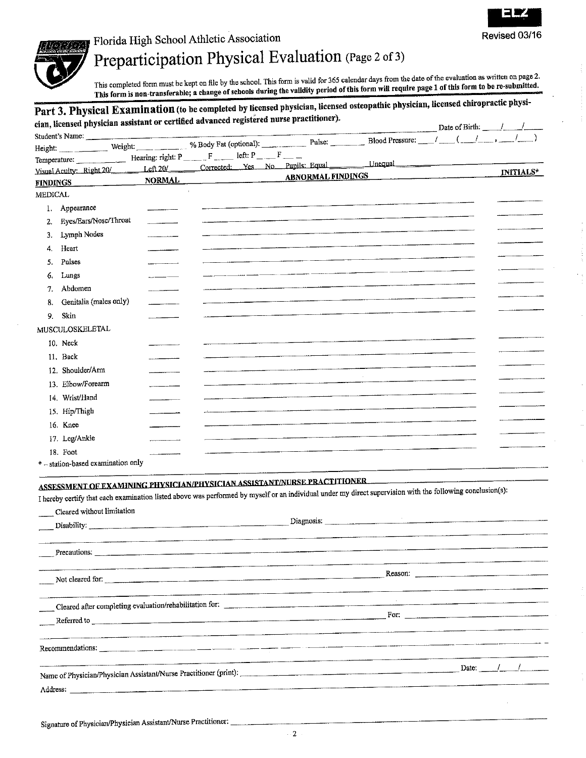

Florida High School Athletic Association

# Preparticipation Physical Evaluation (Page 2 of 3)

This completed form must be kept on file by the school. This form is valid for 365 calendar days from the date of the evaluation as written on page 2. This form is non-transferable; a change of schools during the validity period of this form will require page 1 of this form to be re-submitted.

#### Part 3. Physical Examination (to be completed by licensed physician, licensed osteopathic physician, licensed chiropractic physician, licensed physician assistant or certified advanced registered nurse practitioner). Date of Birth: Student's Name: % Body Fat (optional): Weight: Height: Hearing: right: P \_\_\_\_\_\_ F \_\_\_\_\_ left: P \_ \_\_\_ F \_\_\_ Temperature: Unequal Corrected: Yes No Pupils: Equal Left 20/ Visual Acuity: Right 20/ INITIALS\* ABNORMAL FINDINGS **NORMAL FINDINGS**  $\mathbf{r}$ MEDICAL 1. Appearance 2. Eyes/Ears/Nose/Throat 3. Lymph Nodes Heart  $4.$ Pulses 5. 6. Lungs 7. Abdomen Genitalia (males only) 8. 9. Skin MUSCULOSKELETAL 10 Neck 11. Back 12. Shoulder/Arm 13. Elbow/Forearm 14. Wrist/Hand 15. Hip/Thigh 16. Knee 17. Leg/Ankle 18. Foot

\* - station-based examination only

### ASSESSMENT OF EXAMINING PHYSICIAN/PHYSICIAN ASSISTANT/NURSE PRACTITIONER.

I hereby certify that each examination listed above was performed by myself or an individual under my direct supervision with the following conclusion(s):

| Cleared without limitation                                                                                                                                                                                                     |                                                                                                                                                                                                                                |         |  |
|--------------------------------------------------------------------------------------------------------------------------------------------------------------------------------------------------------------------------------|--------------------------------------------------------------------------------------------------------------------------------------------------------------------------------------------------------------------------------|---------|--|
|                                                                                                                                                                                                                                | Diagnosis: 2008. Communication of the contract of the contract of the contract of the contract of the contract of the contract of the contract of the contract of the contract of the contract of the contract of the contract |         |  |
|                                                                                                                                                                                                                                |                                                                                                                                                                                                                                |         |  |
|                                                                                                                                                                                                                                |                                                                                                                                                                                                                                |         |  |
| Not cleared for:                                                                                                                                                                                                               |                                                                                                                                                                                                                                | Reason: |  |
|                                                                                                                                                                                                                                |                                                                                                                                                                                                                                |         |  |
| Cleared after completing evaluation/rehabilitation for:                                                                                                                                                                        |                                                                                                                                                                                                                                |         |  |
| Referred to entertainment of the contract of the contract of the contract of the contract of the contract of the contract of the contract of the contract of the contract of the contract of the contract of the contract of t |                                                                                                                                                                                                                                |         |  |
|                                                                                                                                                                                                                                |                                                                                                                                                                                                                                |         |  |
| Recommendations:                                                                                                                                                                                                               |                                                                                                                                                                                                                                |         |  |
| Name of Physician/Physician Assistant/Nurse Practitioner (print):                                                                                                                                                              |                                                                                                                                                                                                                                | Date:   |  |
| Address: and the contract of the contract of the contract of the contract of the contract of the contract of the contract of the contract of the contract of the contract of the contract of the contract of the contract of t |                                                                                                                                                                                                                                |         |  |